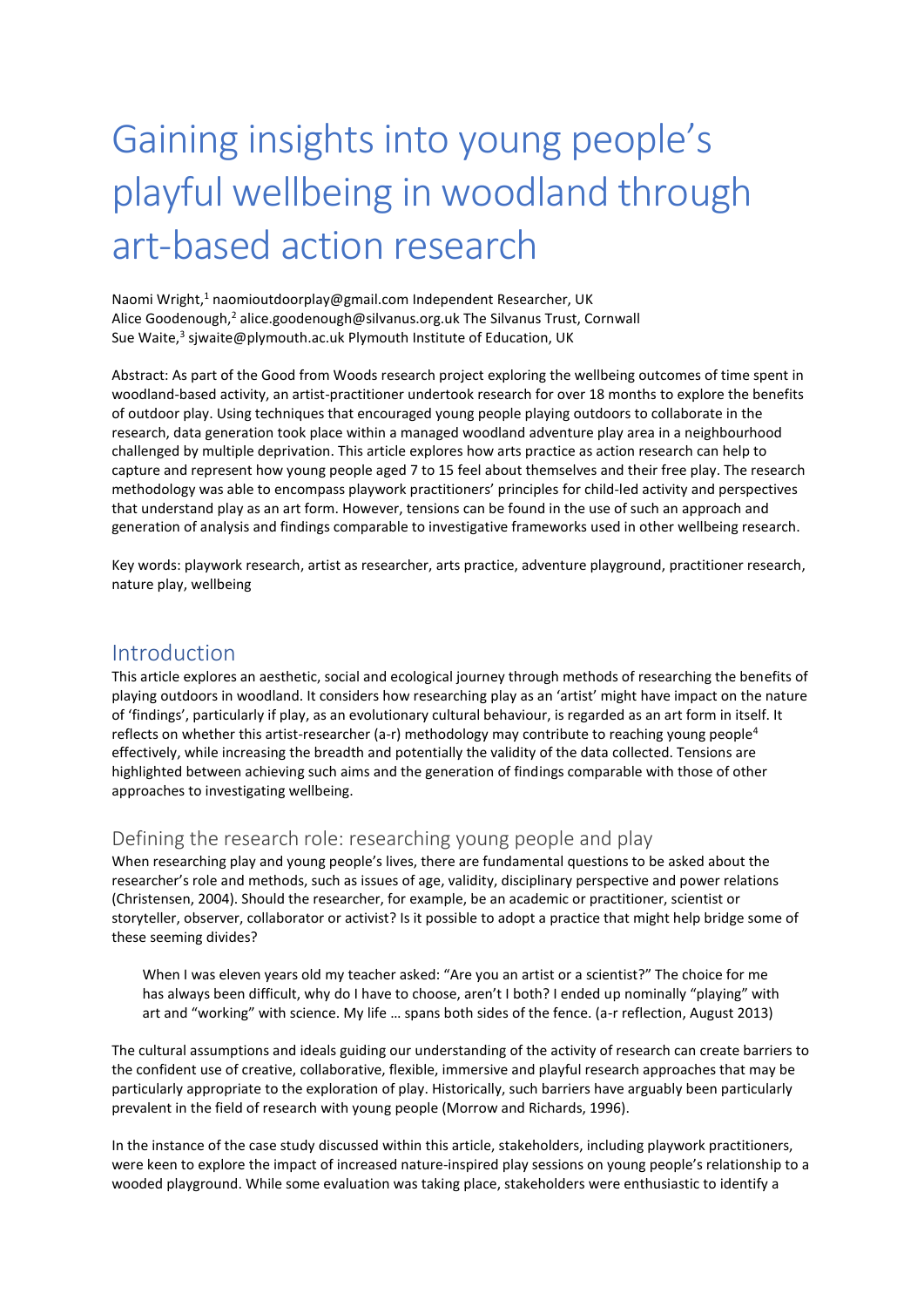# Gaining insights into young people's playful wellbeing in woodland through art-based action research

Naomi Wright,<sup>1</sup> naomioutdoorplay@gmail.com Independent Researcher, UK Alice Goodenough,<sup>2</sup> alice.goodenough@silvanus.org.uk The Silvanus Trust, Cornwall Sue Waite,<sup>3</sup> sjwaite@plymouth.ac.uk Plymouth Institute of Education, UK

Abstract: As part of the Good from Woods research project exploring the wellbeing outcomes of time spent in woodland-based activity, an artist-practitioner undertook research for over 18 months to explore the benefits of outdoor play. Using techniques that encouraged young people playing outdoors to collaborate in the research, data generation took place within a managed woodland adventure play area in a neighbourhood challenged by multiple deprivation. This article explores how arts practice as action research can help to capture and represent how young people aged 7 to 15 feel about themselves and their free play. The research methodology was able to encompass playwork practitioners' principles for child-led activity and perspectives that understand play as an art form. However, tensions can be found in the use of such an approach and generation of analysis and findings comparable to investigative frameworks used in other wellbeing research.

Key words: playwork research, artist as researcher, arts practice, adventure playground, practitioner research, nature play, wellbeing

## Introduction

This article explores an aesthetic, social and ecological journey through methods of researching the benefits of playing outdoors in woodland. It considers how researching play as an 'artist' might have impact on the nature of 'findings', particularly if play, as an evolutionary cultural behaviour, is regarded as an art form in itself. It reflects on whether this artist-researcher (a-r) methodology may contribute to reaching young people<sup>4</sup> effectively, while increasing the breadth and potentially the validity of the data collected. Tensions are highlighted between achieving such aims and the generation of findings comparable with those of other approaches to investigating wellbeing.

#### Defining the research role: researching young people and play

When researching play and young people's lives, there are fundamental questions to be asked about the researcher's role and methods, such as issues of age, validity, disciplinary perspective and power relations (Christensen, 2004). Should the researcher, for example, be an academic or practitioner, scientist or storyteller, observer, collaborator or activist? Is it possible to adopt a practice that might help bridge some of these seeming divides?

When I was eleven years old my teacher asked: "Are you an artist or a scientist?" The choice for me has always been difficult, why do I have to choose, aren't I both? I ended up nominally "playing" with art and "working" with science. My life … spans both sides of the fence. (a-r reflection, August 2013)

The cultural assumptions and ideals guiding our understanding of the activity of research can create barriers to the confident use of creative, collaborative, flexible, immersive and playful research approaches that may be particularly appropriate to the exploration of play. Historically, such barriers have arguably been particularly prevalent in the field of research with young people (Morrow and Richards, 1996).

In the instance of the case study discussed within this article, stakeholders, including playwork practitioners, were keen to explore the impact of increased nature-inspired play sessions on young people's relationship to a wooded playground. While some evaluation was taking place, stakeholders were enthusiastic to identify a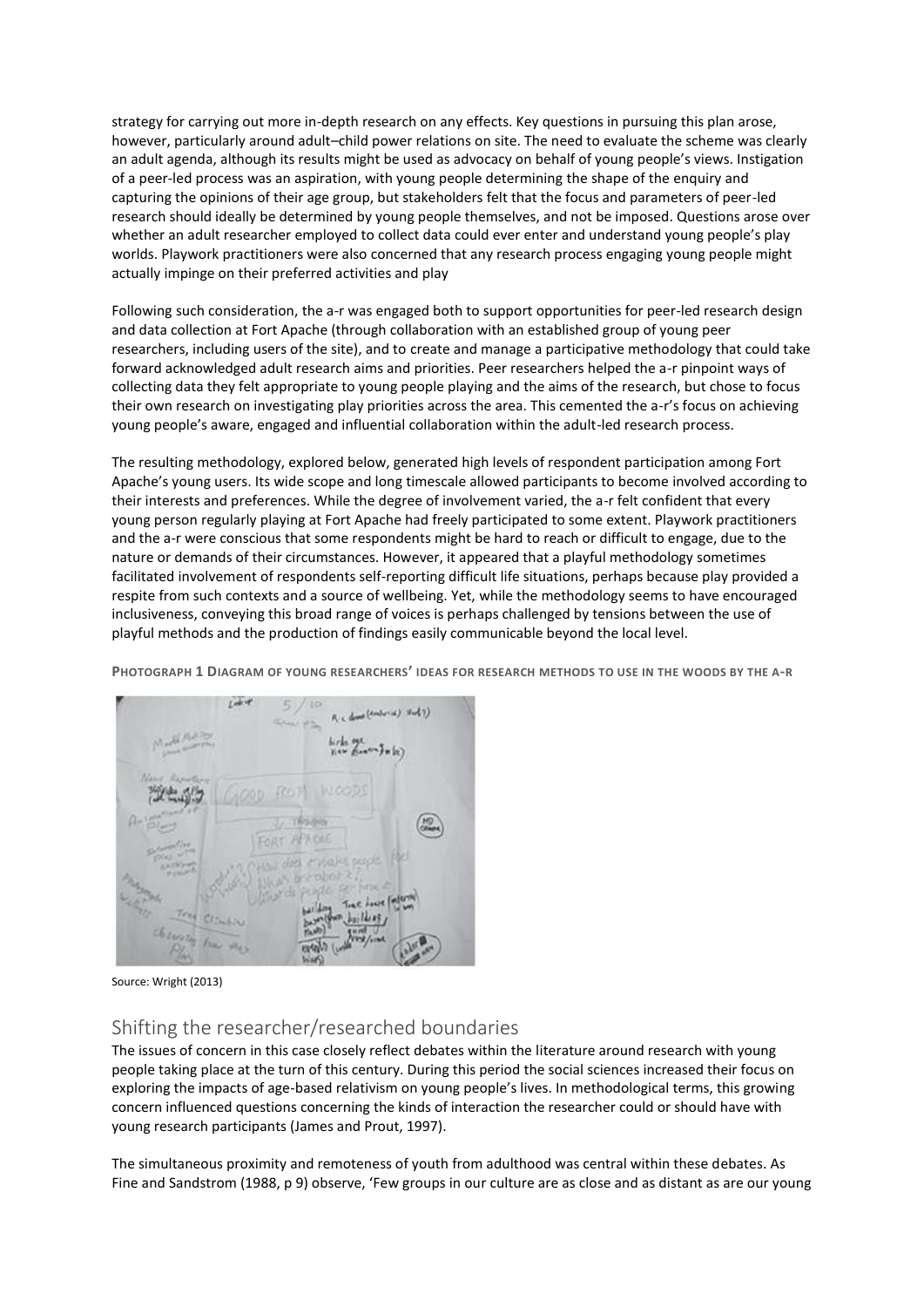strategy for carrying out more in-depth research on any effects. Key questions in pursuing this plan arose, however, particularly around adult–child power relations on site. The need to evaluate the scheme was clearly an adult agenda, although its results might be used as advocacy on behalf of young people's views. Instigation of a peer-led process was an aspiration, with young people determining the shape of the enquiry and capturing the opinions of their age group, but stakeholders felt that the focus and parameters of peer-led research should ideally be determined by young people themselves, and not be imposed. Questions arose over whether an adult researcher employed to collect data could ever enter and understand young people's play worlds. Playwork practitioners were also concerned that any research process engaging young people might actually impinge on their preferred activities and play

Following such consideration, the a-r was engaged both to support opportunities for peer-led research design and data collection at Fort Apache (through collaboration with an established group of young peer researchers, including users of the site), and to create and manage a participative methodology that could take forward acknowledged adult research aims and priorities. Peer researchers helped the a-r pinpoint ways of collecting data they felt appropriate to young people playing and the aims of the research, but chose to focus their own research on investigating play priorities across the area. This cemented the a-r's focus on achieving young people's aware, engaged and influential collaboration within the adult-led research process.

The resulting methodology, explored below, generated high levels of respondent participation among Fort Apache's young users. Its wide scope and long timescale allowed participants to become involved according to their interests and preferences. While the degree of involvement varied, the a-r felt confident that every young person regularly playing at Fort Apache had freely participated to some extent. Playwork practitioners and the a-r were conscious that some respondents might be hard to reach or difficult to engage, due to the nature or demands of their circumstances. However, it appeared that a playful methodology sometimes facilitated involvement of respondents self-reporting difficult life situations, perhaps because play provided a respite from such contexts and a source of wellbeing. Yet, while the methodology seems to have encouraged inclusiveness, conveying this broad range of voices is perhaps challenged by tensions between the use of playful methods and the production of findings easily communicable beyond the local level.



**PHOTOGRAPH 1 DIAGRAM OF YOUNG RESEARCHERS' IDEAS FOR RESEARCH METHODS TO USE IN THE WOODS BY THE A-R**

Source: Wright (2013)

#### Shifting the researcher/researched boundaries

The issues of concern in this case closely reflect debates within the literature around research with young people taking place at the turn of this century. During this period the social sciences increased their focus on exploring the impacts of age-based relativism on young people's lives. In methodological terms, this growing concern influenced questions concerning the kinds of interaction the researcher could or should have with young research participants (James and Prout, 1997).

The simultaneous proximity and remoteness of youth from adulthood was central within these debates. As Fine and Sandstrom (1988, p 9) observe, 'Few groups in our culture are as close and as distant as are our young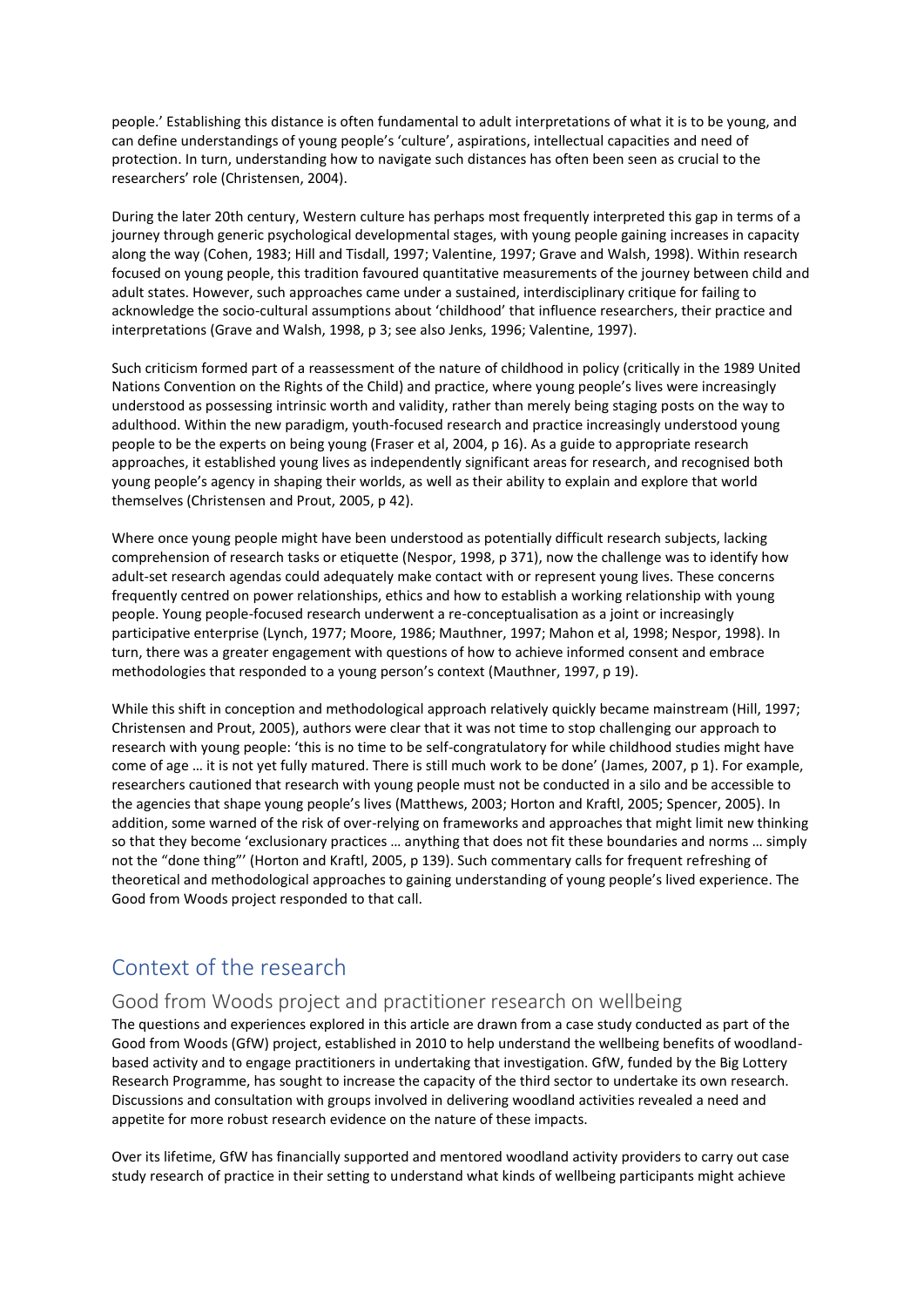people.' Establishing this distance is often fundamental to adult interpretations of what it is to be young, and can define understandings of young people's 'culture', aspirations, intellectual capacities and need of protection. In turn, understanding how to navigate such distances has often been seen as crucial to the researchers' role (Christensen, 2004).

During the later 20th century, Western culture has perhaps most frequently interpreted this gap in terms of a journey through generic psychological developmental stages, with young people gaining increases in capacity along the way (Cohen, 1983; Hill and Tisdall, 1997; Valentine, 1997; Grave and Walsh, 1998). Within research focused on young people, this tradition favoured quantitative measurements of the journey between child and adult states. However, such approaches came under a sustained, interdisciplinary critique for failing to acknowledge the socio-cultural assumptions about 'childhood' that influence researchers, their practice and interpretations (Grave and Walsh, 1998, p 3; see also Jenks, 1996; Valentine, 1997).

Such criticism formed part of a reassessment of the nature of childhood in policy (critically in the 1989 United Nations Convention on the Rights of the Child) and practice, where young people's lives were increasingly understood as possessing intrinsic worth and validity, rather than merely being staging posts on the way to adulthood. Within the new paradigm, youth-focused research and practice increasingly understood young people to be the experts on being young (Fraser et al, 2004, p 16). As a guide to appropriate research approaches, it established young lives as independently significant areas for research, and recognised both young people's agency in shaping their worlds, as well as their ability to explain and explore that world themselves (Christensen and Prout, 2005, p 42).

Where once young people might have been understood as potentially difficult research subjects, lacking comprehension of research tasks or etiquette (Nespor, 1998, p 371), now the challenge was to identify how adult-set research agendas could adequately make contact with or represent young lives. These concerns frequently centred on power relationships, ethics and how to establish a working relationship with young people. Young people-focused research underwent a re-conceptualisation as a joint or increasingly participative enterprise (Lynch, 1977; Moore, 1986; Mauthner, 1997; Mahon et al, 1998; Nespor, 1998). In turn, there was a greater engagement with questions of how to achieve informed consent and embrace methodologies that responded to a young person's context (Mauthner, 1997, p 19).

While this shift in conception and methodological approach relatively quickly became mainstream (Hill, 1997; Christensen and Prout, 2005), authors were clear that it was not time to stop challenging our approach to research with young people: 'this is no time to be self-congratulatory for while childhood studies might have come of age … it is not yet fully matured. There is still much work to be done' (James, 2007, p 1). For example, researchers cautioned that research with young people must not be conducted in a silo and be accessible to the agencies that shape young people's lives (Matthews, 2003; Horton and Kraftl, 2005; Spencer, 2005). In addition, some warned of the risk of over-relying on frameworks and approaches that might limit new thinking so that they become 'exclusionary practices … anything that does not fit these boundaries and norms … simply not the "done thing"' (Horton and Kraftl, 2005, p 139). Such commentary calls for frequent refreshing of theoretical and methodological approaches to gaining understanding of young people's lived experience. The Good from Woods project responded to that call.

## Context of the research

#### Good from Woods project and practitioner research on wellbeing

The questions and experiences explored in this article are drawn from a case study conducted as part of the Good from Woods (GfW) project, established in 2010 to help understand the wellbeing benefits of woodlandbased activity and to engage practitioners in undertaking that investigation. GfW, funded by the Big Lottery Research Programme, has sought to increase the capacity of the third sector to undertake its own research. Discussions and consultation with groups involved in delivering woodland activities revealed a need and appetite for more robust research evidence on the nature of these impacts.

Over its lifetime, GfW has financially supported and mentored woodland activity providers to carry out case study research of practice in their setting to understand what kinds of wellbeing participants might achieve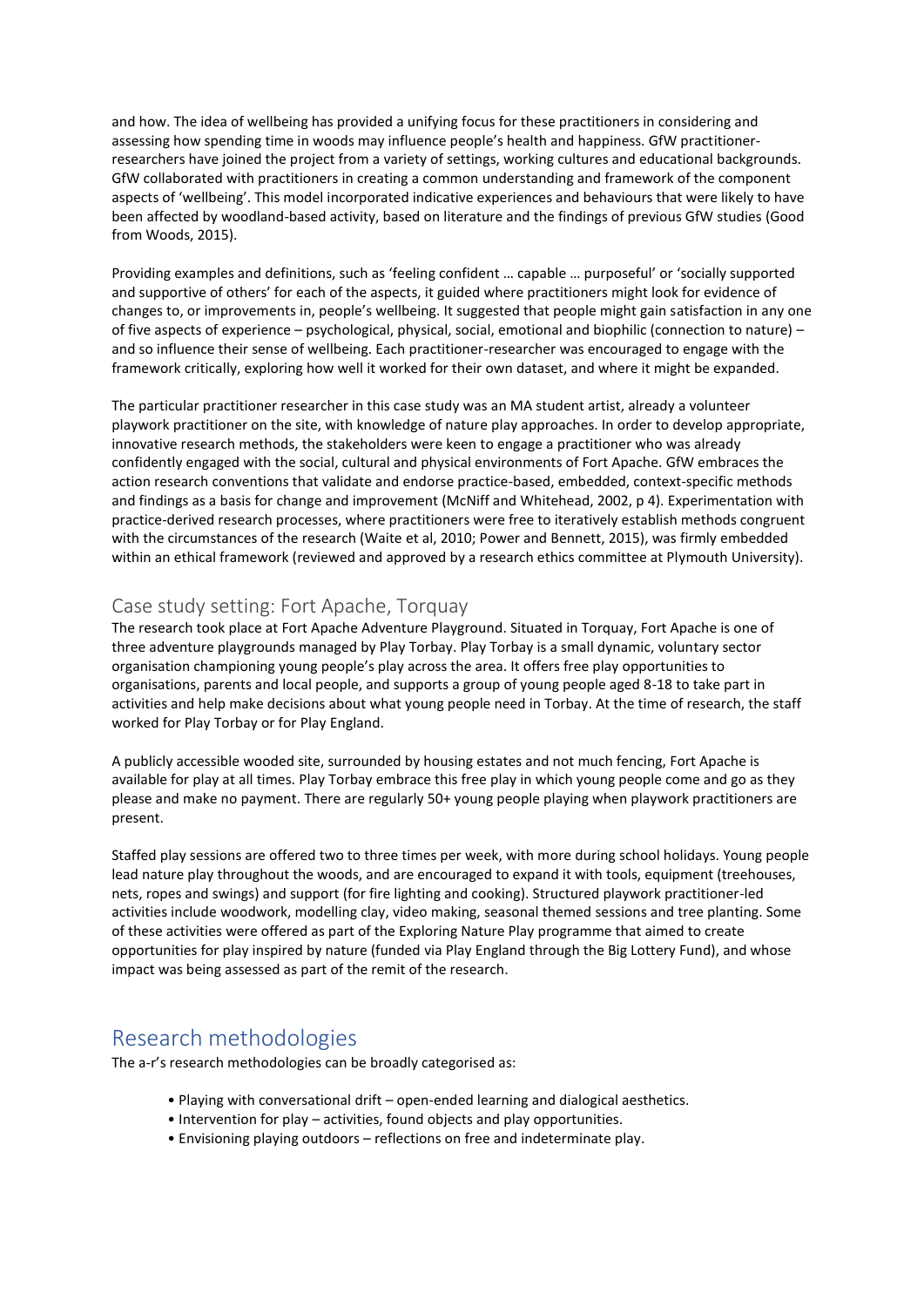and how. The idea of wellbeing has provided a unifying focus for these practitioners in considering and assessing how spending time in woods may influence people's health and happiness. GfW practitionerresearchers have joined the project from a variety of settings, working cultures and educational backgrounds. GfW collaborated with practitioners in creating a common understanding and framework of the component aspects of 'wellbeing'. This model incorporated indicative experiences and behaviours that were likely to have been affected by woodland-based activity, based on literature and the findings of previous GfW studies (Good from Woods, 2015).

Providing examples and definitions, such as 'feeling confident … capable … purposeful' or 'socially supported and supportive of others' for each of the aspects, it guided where practitioners might look for evidence of changes to, or improvements in, people's wellbeing. It suggested that people might gain satisfaction in any one of five aspects of experience – psychological, physical, social, emotional and biophilic (connection to nature) – and so influence their sense of wellbeing. Each practitioner-researcher was encouraged to engage with the framework critically, exploring how well it worked for their own dataset, and where it might be expanded.

The particular practitioner researcher in this case study was an MA student artist, already a volunteer playwork practitioner on the site, with knowledge of nature play approaches. In order to develop appropriate, innovative research methods, the stakeholders were keen to engage a practitioner who was already confidently engaged with the social, cultural and physical environments of Fort Apache. GfW embraces the action research conventions that validate and endorse practice-based, embedded, context-specific methods and findings as a basis for change and improvement (McNiff and Whitehead, 2002, p 4). Experimentation with practice-derived research processes, where practitioners were free to iteratively establish methods congruent with the circumstances of the research (Waite et al, 2010; Power and Bennett, 2015), was firmly embedded within an ethical framework (reviewed and approved by a research ethics committee at Plymouth University).

#### Case study setting: Fort Apache, Torquay

The research took place at Fort Apache Adventure Playground. Situated in Torquay, Fort Apache is one of three adventure playgrounds managed by Play Torbay. Play Torbay is a small dynamic, voluntary sector organisation championing young people's play across the area. It offers free play opportunities to organisations, parents and local people, and supports a group of young people aged 8-18 to take part in activities and help make decisions about what young people need in Torbay. At the time of research, the staff worked for Play Torbay or for Play England.

A publicly accessible wooded site, surrounded by housing estates and not much fencing, Fort Apache is available for play at all times. Play Torbay embrace this free play in which young people come and go as they please and make no payment. There are regularly 50+ young people playing when playwork practitioners are present.

Staffed play sessions are offered two to three times per week, with more during school holidays. Young people lead nature play throughout the woods, and are encouraged to expand it with tools, equipment (treehouses, nets, ropes and swings) and support (for fire lighting and cooking). Structured playwork practitioner-led activities include woodwork, modelling clay, video making, seasonal themed sessions and tree planting. Some of these activities were offered as part of the Exploring Nature Play programme that aimed to create opportunities for play inspired by nature (funded via Play England through the Big Lottery Fund), and whose impact was being assessed as part of the remit of the research.

## Research methodologies

The a-r's research methodologies can be broadly categorised as:

- Playing with conversational drift open-ended learning and dialogical aesthetics.
- Intervention for play activities, found objects and play opportunities.
- Envisioning playing outdoors reflections on free and indeterminate play.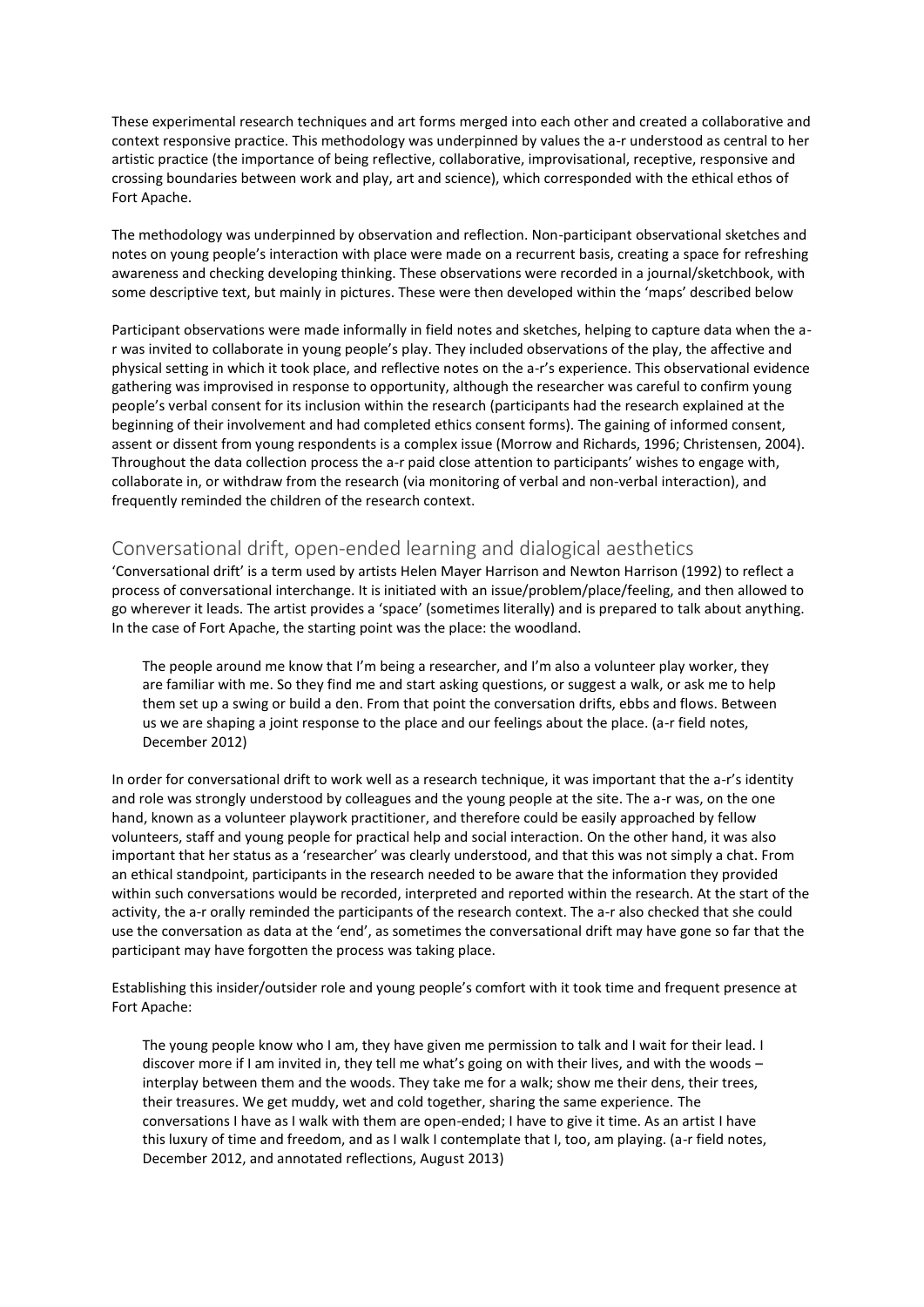These experimental research techniques and art forms merged into each other and created a collaborative and context responsive practice. This methodology was underpinned by values the a-r understood as central to her artistic practice (the importance of being reflective, collaborative, improvisational, receptive, responsive and crossing boundaries between work and play, art and science), which corresponded with the ethical ethos of Fort Apache.

The methodology was underpinned by observation and reflection. Non-participant observational sketches and notes on young people's interaction with place were made on a recurrent basis, creating a space for refreshing awareness and checking developing thinking. These observations were recorded in a journal/sketchbook, with some descriptive text, but mainly in pictures. These were then developed within the 'maps' described below

Participant observations were made informally in field notes and sketches, helping to capture data when the ar was invited to collaborate in young people's play. They included observations of the play, the affective and physical setting in which it took place, and reflective notes on the a-r's experience. This observational evidence gathering was improvised in response to opportunity, although the researcher was careful to confirm young people's verbal consent for its inclusion within the research (participants had the research explained at the beginning of their involvement and had completed ethics consent forms). The gaining of informed consent, assent or dissent from young respondents is a complex issue (Morrow and Richards, 1996; Christensen, 2004). Throughout the data collection process the a-r paid close attention to participants' wishes to engage with, collaborate in, or withdraw from the research (via monitoring of verbal and non-verbal interaction), and frequently reminded the children of the research context.

#### Conversational drift, open-ended learning and dialogical aesthetics

'Conversational drift' is a term used by artists Helen Mayer Harrison and Newton Harrison (1992) to reflect a process of conversational interchange. It is initiated with an issue/problem/place/feeling, and then allowed to go wherever it leads. The artist provides a 'space' (sometimes literally) and is prepared to talk about anything. In the case of Fort Apache, the starting point was the place: the woodland.

The people around me know that I'm being a researcher, and I'm also a volunteer play worker, they are familiar with me. So they find me and start asking questions, or suggest a walk, or ask me to help them set up a swing or build a den. From that point the conversation drifts, ebbs and flows. Between us we are shaping a joint response to the place and our feelings about the place. (a-r field notes, December 2012)

In order for conversational drift to work well as a research technique, it was important that the a-r's identity and role was strongly understood by colleagues and the young people at the site. The a-r was, on the one hand, known as a volunteer playwork practitioner, and therefore could be easily approached by fellow volunteers, staff and young people for practical help and social interaction. On the other hand, it was also important that her status as a 'researcher' was clearly understood, and that this was not simply a chat. From an ethical standpoint, participants in the research needed to be aware that the information they provided within such conversations would be recorded, interpreted and reported within the research. At the start of the activity, the a-r orally reminded the participants of the research context. The a-r also checked that she could use the conversation as data at the 'end', as sometimes the conversational drift may have gone so far that the participant may have forgotten the process was taking place.

Establishing this insider/outsider role and young people's comfort with it took time and frequent presence at Fort Apache:

The young people know who I am, they have given me permission to talk and I wait for their lead. I discover more if I am invited in, they tell me what's going on with their lives, and with the woods – interplay between them and the woods. They take me for a walk; show me their dens, their trees, their treasures. We get muddy, wet and cold together, sharing the same experience. The conversations I have as I walk with them are open-ended; I have to give it time. As an artist I have this luxury of time and freedom, and as I walk I contemplate that I, too, am playing. (a-r field notes, December 2012, and annotated reflections, August 2013)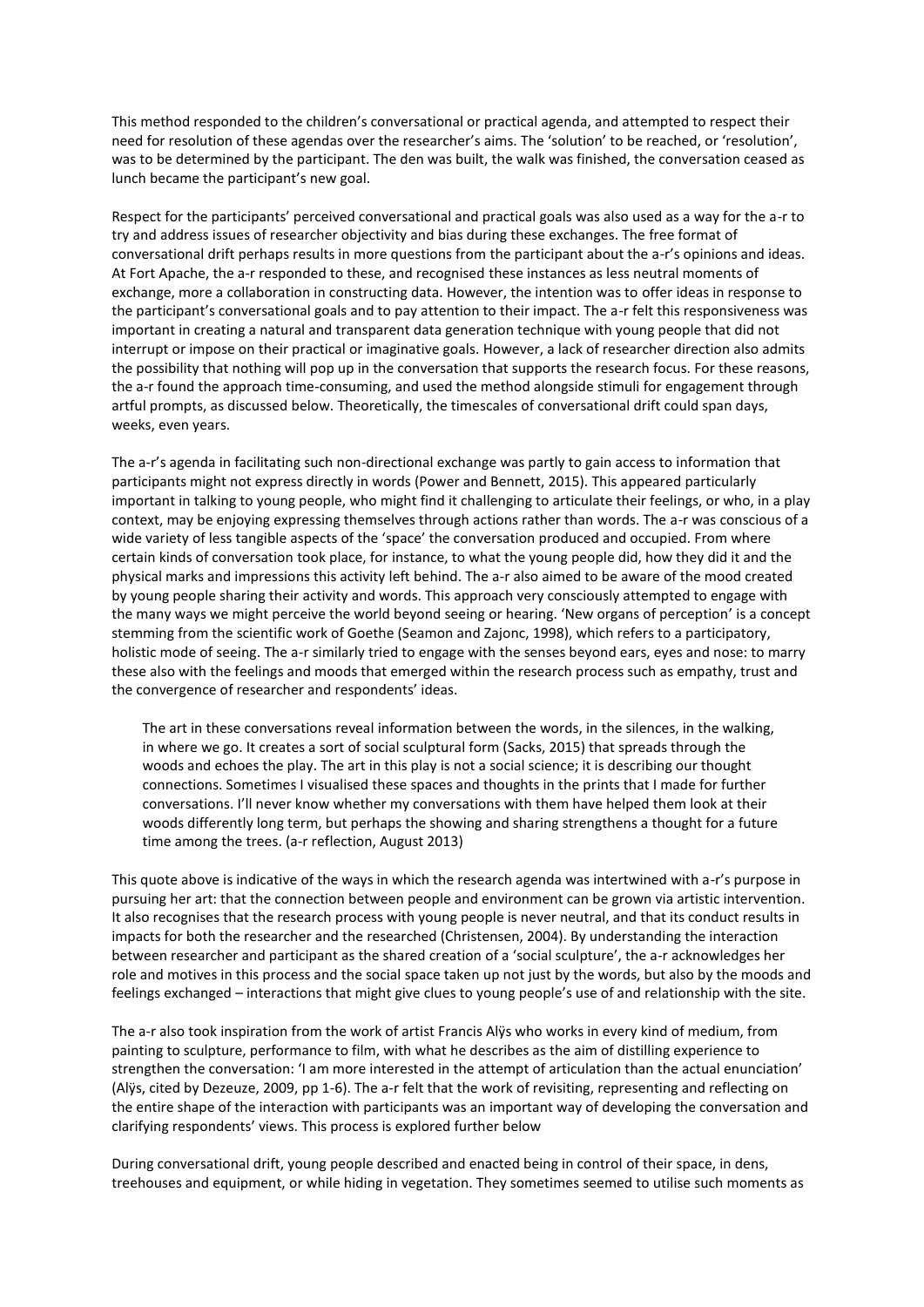This method responded to the children's conversational or practical agenda, and attempted to respect their need for resolution of these agendas over the researcher's aims. The 'solution' to be reached, or 'resolution', was to be determined by the participant. The den was built, the walk was finished, the conversation ceased as lunch became the participant's new goal.

Respect for the participants' perceived conversational and practical goals was also used as a way for the a-r to try and address issues of researcher objectivity and bias during these exchanges. The free format of conversational drift perhaps results in more questions from the participant about the a-r's opinions and ideas. At Fort Apache, the a-r responded to these, and recognised these instances as less neutral moments of exchange, more a collaboration in constructing data. However, the intention was to offer ideas in response to the participant's conversational goals and to pay attention to their impact. The a-r felt this responsiveness was important in creating a natural and transparent data generation technique with young people that did not interrupt or impose on their practical or imaginative goals. However, a lack of researcher direction also admits the possibility that nothing will pop up in the conversation that supports the research focus. For these reasons, the a-r found the approach time-consuming, and used the method alongside stimuli for engagement through artful prompts, as discussed below. Theoretically, the timescales of conversational drift could span days, weeks, even years.

The a-r's agenda in facilitating such non-directional exchange was partly to gain access to information that participants might not express directly in words (Power and Bennett, 2015). This appeared particularly important in talking to young people, who might find it challenging to articulate their feelings, or who, in a play context, may be enjoying expressing themselves through actions rather than words. The a-r was conscious of a wide variety of less tangible aspects of the 'space' the conversation produced and occupied. From where certain kinds of conversation took place, for instance, to what the young people did, how they did it and the physical marks and impressions this activity left behind. The a-r also aimed to be aware of the mood created by young people sharing their activity and words. This approach very consciously attempted to engage with the many ways we might perceive the world beyond seeing or hearing. 'New organs of perception' is a concept stemming from the scientific work of Goethe (Seamon and Zajonc, 1998), which refers to a participatory, holistic mode of seeing. The a-r similarly tried to engage with the senses beyond ears, eyes and nose: to marry these also with the feelings and moods that emerged within the research process such as empathy, trust and the convergence of researcher and respondents' ideas.

The art in these conversations reveal information between the words, in the silences, in the walking, in where we go. It creates a sort of social sculptural form (Sacks, 2015) that spreads through the woods and echoes the play. The art in this play is not a social science; it is describing our thought connections. Sometimes I visualised these spaces and thoughts in the prints that I made for further conversations. I'll never know whether my conversations with them have helped them look at their woods differently long term, but perhaps the showing and sharing strengthens a thought for a future time among the trees. (a-r reflection, August 2013)

This quote above is indicative of the ways in which the research agenda was intertwined with a-r's purpose in pursuing her art: that the connection between people and environment can be grown via artistic intervention. It also recognises that the research process with young people is never neutral, and that its conduct results in impacts for both the researcher and the researched (Christensen, 2004). By understanding the interaction between researcher and participant as the shared creation of a 'social sculpture', the a-r acknowledges her role and motives in this process and the social space taken up not just by the words, but also by the moods and feelings exchanged – interactions that might give clues to young people's use of and relationship with the site.

The a-r also took inspiration from the work of artist Francis Alÿs who works in every kind of medium, from painting to sculpture, performance to film, with what he describes as the aim of distilling experience to strengthen the conversation: 'I am more interested in the attempt of articulation than the actual enunciation' (Alÿs, cited by Dezeuze, 2009, pp 1-6). The a-r felt that the work of revisiting, representing and reflecting on the entire shape of the interaction with participants was an important way of developing the conversation and clarifying respondents' views. This process is explored further below

During conversational drift, young people described and enacted being in control of their space, in dens, treehouses and equipment, or while hiding in vegetation. They sometimes seemed to utilise such moments as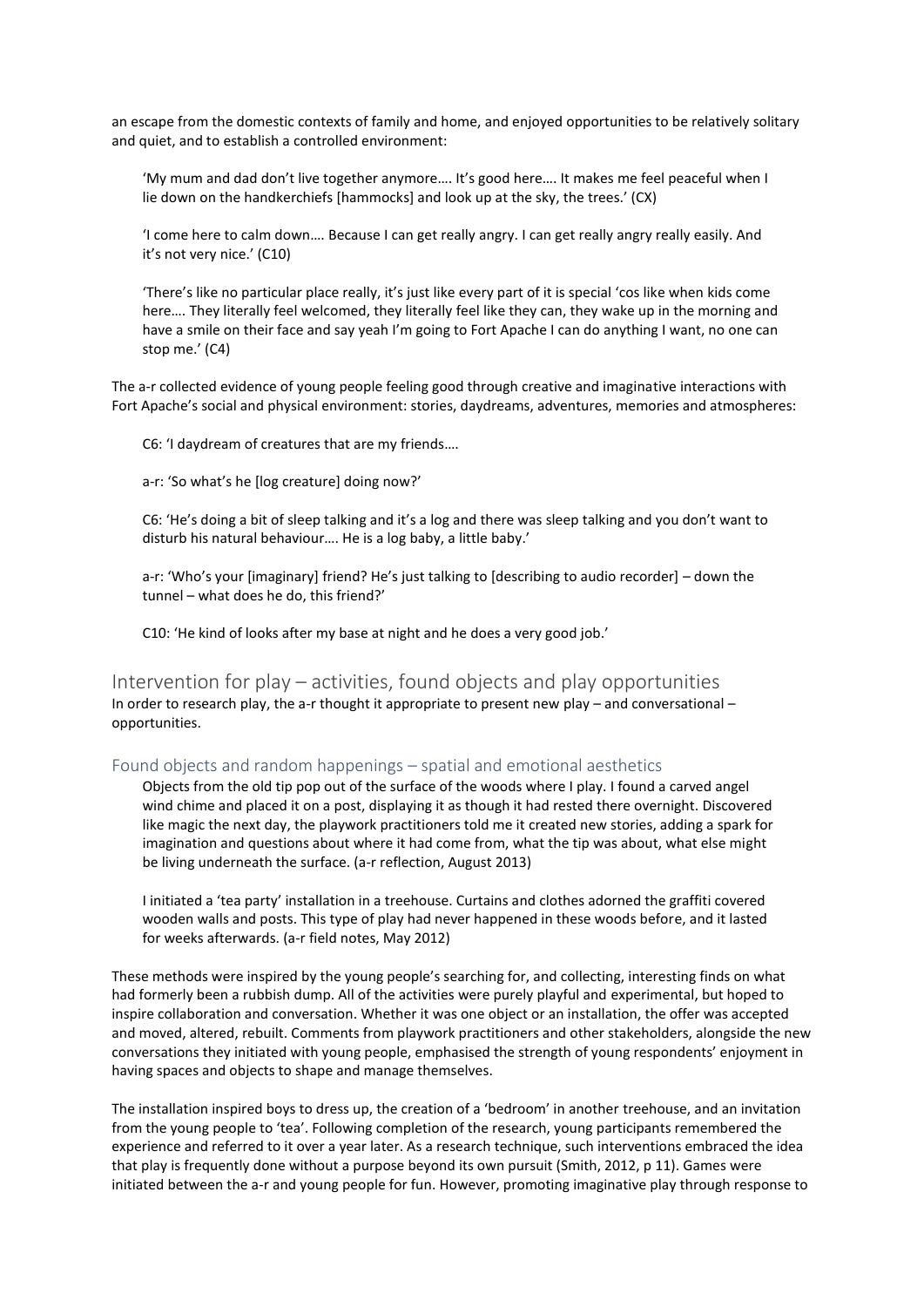an escape from the domestic contexts of family and home, and enjoyed opportunities to be relatively solitary and quiet, and to establish a controlled environment:

'My mum and dad don't live together anymore…. It's good here…. It makes me feel peaceful when I lie down on the handkerchiefs [hammocks] and look up at the sky, the trees.' (CX)

'I come here to calm down…. Because I can get really angry. I can get really angry really easily. And it's not very nice.' (C10)

'There's like no particular place really, it's just like every part of it is special 'cos like when kids come here…. They literally feel welcomed, they literally feel like they can, they wake up in the morning and have a smile on their face and say yeah I'm going to Fort Apache I can do anything I want, no one can stop me.' (C4)

The a-r collected evidence of young people feeling good through creative and imaginative interactions with Fort Apache's social and physical environment: stories, daydreams, adventures, memories and atmospheres:

C6: 'I daydream of creatures that are my friends….

a-r: 'So what's he [log creature] doing now?'

C6: 'He's doing a bit of sleep talking and it's a log and there was sleep talking and you don't want to disturb his natural behaviour…. He is a log baby, a little baby.'

a-r: 'Who's your [imaginary] friend? He's just talking to [describing to audio recorder] – down the tunnel – what does he do, this friend?'

C10: 'He kind of looks after my base at night and he does a very good job.'

Intervention for play – activities, found objects and play opportunities In order to research play, the a-r thought it appropriate to present new play – and conversational – opportunities.

#### Found objects and random happenings – spatial and emotional aesthetics

Objects from the old tip pop out of the surface of the woods where I play. I found a carved angel wind chime and placed it on a post, displaying it as though it had rested there overnight. Discovered like magic the next day, the playwork practitioners told me it created new stories, adding a spark for imagination and questions about where it had come from, what the tip was about, what else might be living underneath the surface. (a-r reflection, August 2013)

I initiated a 'tea party' installation in a treehouse. Curtains and clothes adorned the graffiti covered wooden walls and posts. This type of play had never happened in these woods before, and it lasted for weeks afterwards. (a-r field notes, May 2012)

These methods were inspired by the young people's searching for, and collecting, interesting finds on what had formerly been a rubbish dump. All of the activities were purely playful and experimental, but hoped to inspire collaboration and conversation. Whether it was one object or an installation, the offer was accepted and moved, altered, rebuilt. Comments from playwork practitioners and other stakeholders, alongside the new conversations they initiated with young people, emphasised the strength of young respondents' enjoyment in having spaces and objects to shape and manage themselves.

The installation inspired boys to dress up, the creation of a 'bedroom' in another treehouse, and an invitation from the young people to 'tea'. Following completion of the research, young participants remembered the experience and referred to it over a year later. As a research technique, such interventions embraced the idea that play is frequently done without a purpose beyond its own pursuit (Smith, 2012, p 11). Games were initiated between the a-r and young people for fun. However, promoting imaginative play through response to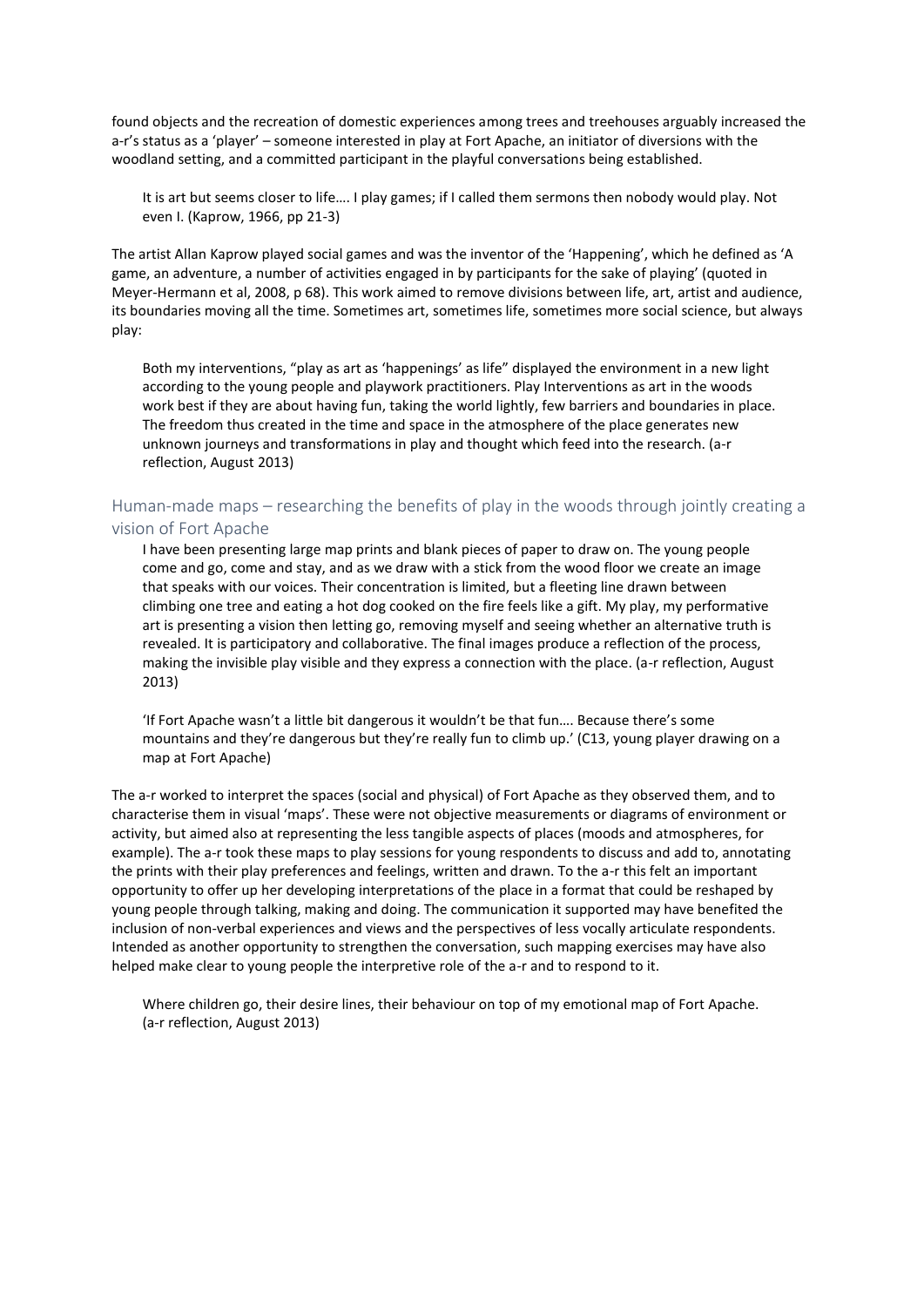found objects and the recreation of domestic experiences among trees and treehouses arguably increased the a-r's status as a 'player' – someone interested in play at Fort Apache, an initiator of diversions with the woodland setting, and a committed participant in the playful conversations being established.

It is art but seems closer to life…. I play games; if I called them sermons then nobody would play. Not even I. (Kaprow, 1966, pp 21-3)

The artist Allan Kaprow played social games and was the inventor of the 'Happening', which he defined as 'A game, an adventure, a number of activities engaged in by participants for the sake of playing' (quoted in Meyer-Hermann et al, 2008, p 68). This work aimed to remove divisions between life, art, artist and audience, its boundaries moving all the time. Sometimes art, sometimes life, sometimes more social science, but always play:

Both my interventions, "play as art as 'happenings' as life" displayed the environment in a new light according to the young people and playwork practitioners. Play Interventions as art in the woods work best if they are about having fun, taking the world lightly, few barriers and boundaries in place. The freedom thus created in the time and space in the atmosphere of the place generates new unknown journeys and transformations in play and thought which feed into the research. (a-r reflection, August 2013)

#### Human-made maps – researching the benefits of play in the woods through jointly creating a vision of Fort Apache

I have been presenting large map prints and blank pieces of paper to draw on. The young people come and go, come and stay, and as we draw with a stick from the wood floor we create an image that speaks with our voices. Their concentration is limited, but a fleeting line drawn between climbing one tree and eating a hot dog cooked on the fire feels like a gift. My play, my performative art is presenting a vision then letting go, removing myself and seeing whether an alternative truth is revealed. It is participatory and collaborative. The final images produce a reflection of the process, making the invisible play visible and they express a connection with the place. (a-r reflection, August 2013)

'If Fort Apache wasn't a little bit dangerous it wouldn't be that fun…. Because there's some mountains and they're dangerous but they're really fun to climb up.' (C13, young player drawing on a map at Fort Apache)

The a-r worked to interpret the spaces (social and physical) of Fort Apache as they observed them, and to characterise them in visual 'maps'. These were not objective measurements or diagrams of environment or activity, but aimed also at representing the less tangible aspects of places (moods and atmospheres, for example). The a-r took these maps to play sessions for young respondents to discuss and add to, annotating the prints with their play preferences and feelings, written and drawn. To the a-r this felt an important opportunity to offer up her developing interpretations of the place in a format that could be reshaped by young people through talking, making and doing. The communication it supported may have benefited the inclusion of non-verbal experiences and views and the perspectives of less vocally articulate respondents. Intended as another opportunity to strengthen the conversation, such mapping exercises may have also helped make clear to young people the interpretive role of the a-r and to respond to it.

Where children go, their desire lines, their behaviour on top of my emotional map of Fort Apache. (a-r reflection, August 2013)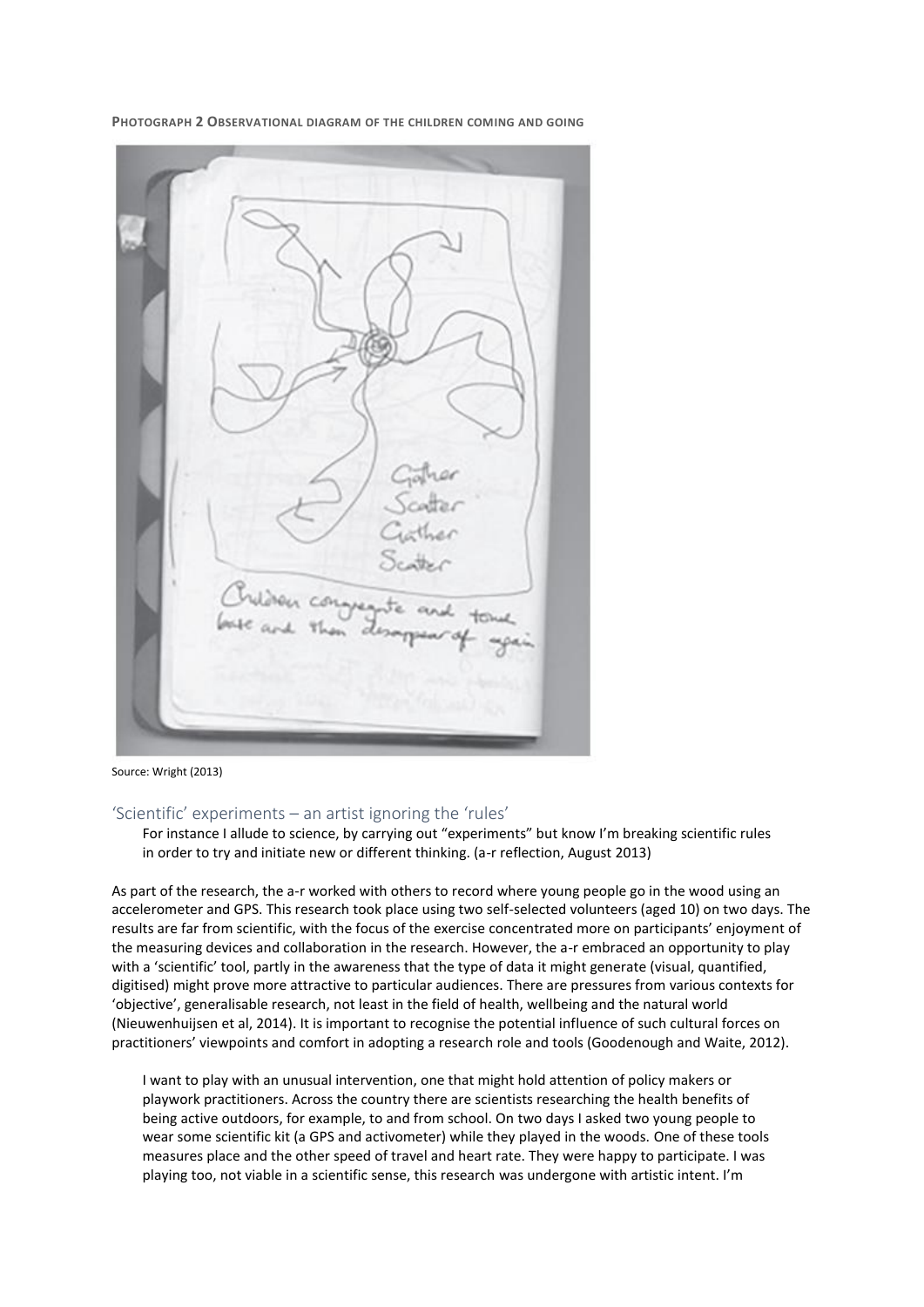**PHOTOGRAPH 2 OBSERVATIONAL DIAGRAM OF THE CHILDREN COMING AND GOING**

Source: Wright (2013)

#### 'Scientific' experiments – an artist ignoring the 'rules'

For instance I allude to science, by carrying out "experiments" but know I'm breaking scientific rules in order to try and initiate new or different thinking. (a-r reflection, August 2013)

As part of the research, the a-r worked with others to record where young people go in the wood using an accelerometer and GPS. This research took place using two self-selected volunteers (aged 10) on two days. The results are far from scientific, with the focus of the exercise concentrated more on participants' enjoyment of the measuring devices and collaboration in the research. However, the a-r embraced an opportunity to play with a 'scientific' tool, partly in the awareness that the type of data it might generate (visual, quantified, digitised) might prove more attractive to particular audiences. There are pressures from various contexts for 'objective', generalisable research, not least in the field of health, wellbeing and the natural world (Nieuwenhuijsen et al, 2014). It is important to recognise the potential influence of such cultural forces on practitioners' viewpoints and comfort in adopting a research role and tools (Goodenough and Waite, 2012).

I want to play with an unusual intervention, one that might hold attention of policy makers or playwork practitioners. Across the country there are scientists researching the health benefits of being active outdoors, for example, to and from school. On two days I asked two young people to wear some scientific kit (a GPS and activometer) while they played in the woods. One of these tools measures place and the other speed of travel and heart rate. They were happy to participate. I was playing too, not viable in a scientific sense, this research was undergone with artistic intent. I'm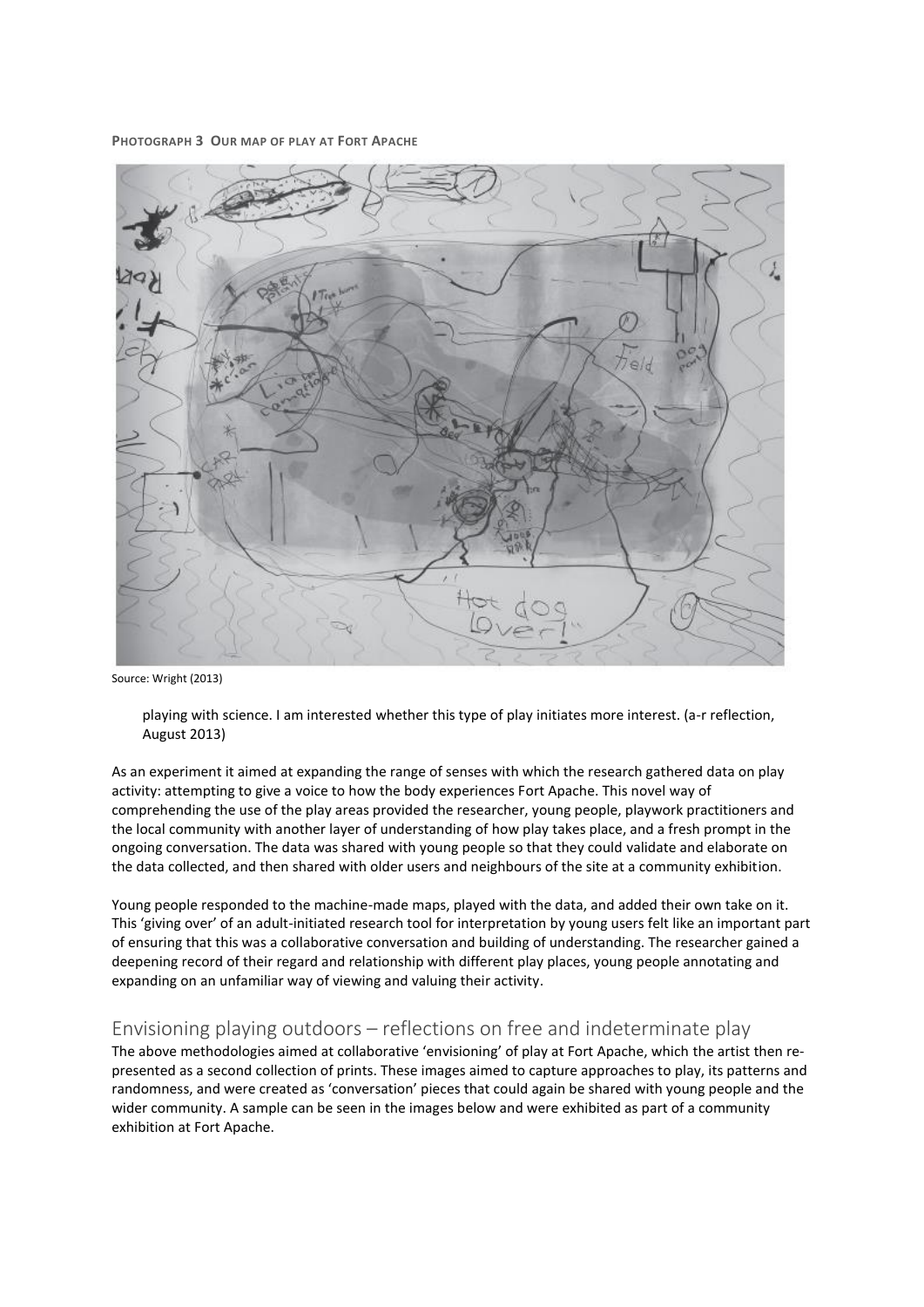#### **PHOTOGRAPH 3 OUR MAP OF PLAY AT FORT APACHE**



Source: Wright (2013)

playing with science. I am interested whether this type of play initiates more interest. (a-r reflection, August 2013)

As an experiment it aimed at expanding the range of senses with which the research gathered data on play activity: attempting to give a voice to how the body experiences Fort Apache. This novel way of comprehending the use of the play areas provided the researcher, young people, playwork practitioners and the local community with another layer of understanding of how play takes place, and a fresh prompt in the ongoing conversation. The data was shared with young people so that they could validate and elaborate on the data collected, and then shared with older users and neighbours of the site at a community exhibition.

Young people responded to the machine-made maps, played with the data, and added their own take on it. This 'giving over' of an adult-initiated research tool for interpretation by young users felt like an important part of ensuring that this was a collaborative conversation and building of understanding. The researcher gained a deepening record of their regard and relationship with different play places, young people annotating and expanding on an unfamiliar way of viewing and valuing their activity.

## Envisioning playing outdoors – reflections on free and indeterminate play

The above methodologies aimed at collaborative 'envisioning' of play at Fort Apache, which the artist then represented as a second collection of prints. These images aimed to capture approaches to play, its patterns and randomness, and were created as 'conversation' pieces that could again be shared with young people and the wider community. A sample can be seen in the images below and were exhibited as part of a community exhibition at Fort Apache.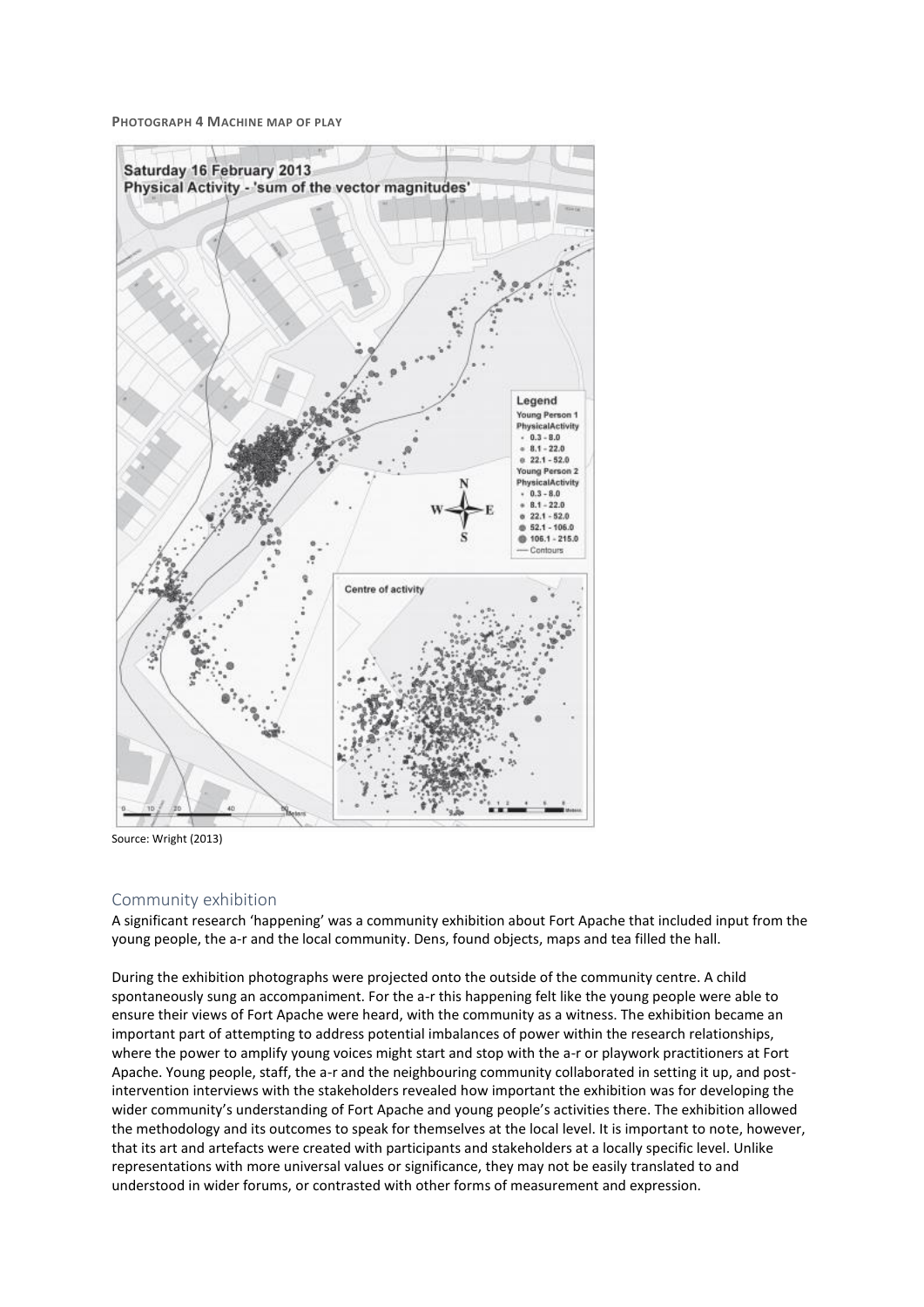#### **PHOTOGRAPH 4 MACHINE MAP OF PLAY**



Source: Wright (2013)

#### Community exhibition

A significant research 'happening' was a community exhibition about Fort Apache that included input from the young people, the a-r and the local community. Dens, found objects, maps and tea filled the hall.

During the exhibition photographs were projected onto the outside of the community centre. A child spontaneously sung an accompaniment. For the a-r this happening felt like the young people were able to ensure their views of Fort Apache were heard, with the community as a witness. The exhibition became an important part of attempting to address potential imbalances of power within the research relationships, where the power to amplify young voices might start and stop with the a-r or playwork practitioners at Fort Apache. Young people, staff, the a-r and the neighbouring community collaborated in setting it up, and postintervention interviews with the stakeholders revealed how important the exhibition was for developing the wider community's understanding of Fort Apache and young people's activities there. The exhibition allowed the methodology and its outcomes to speak for themselves at the local level. It is important to note, however, that its art and artefacts were created with participants and stakeholders at a locally specific level. Unlike representations with more universal values or significance, they may not be easily translated to and understood in wider forums, or contrasted with other forms of measurement and expression.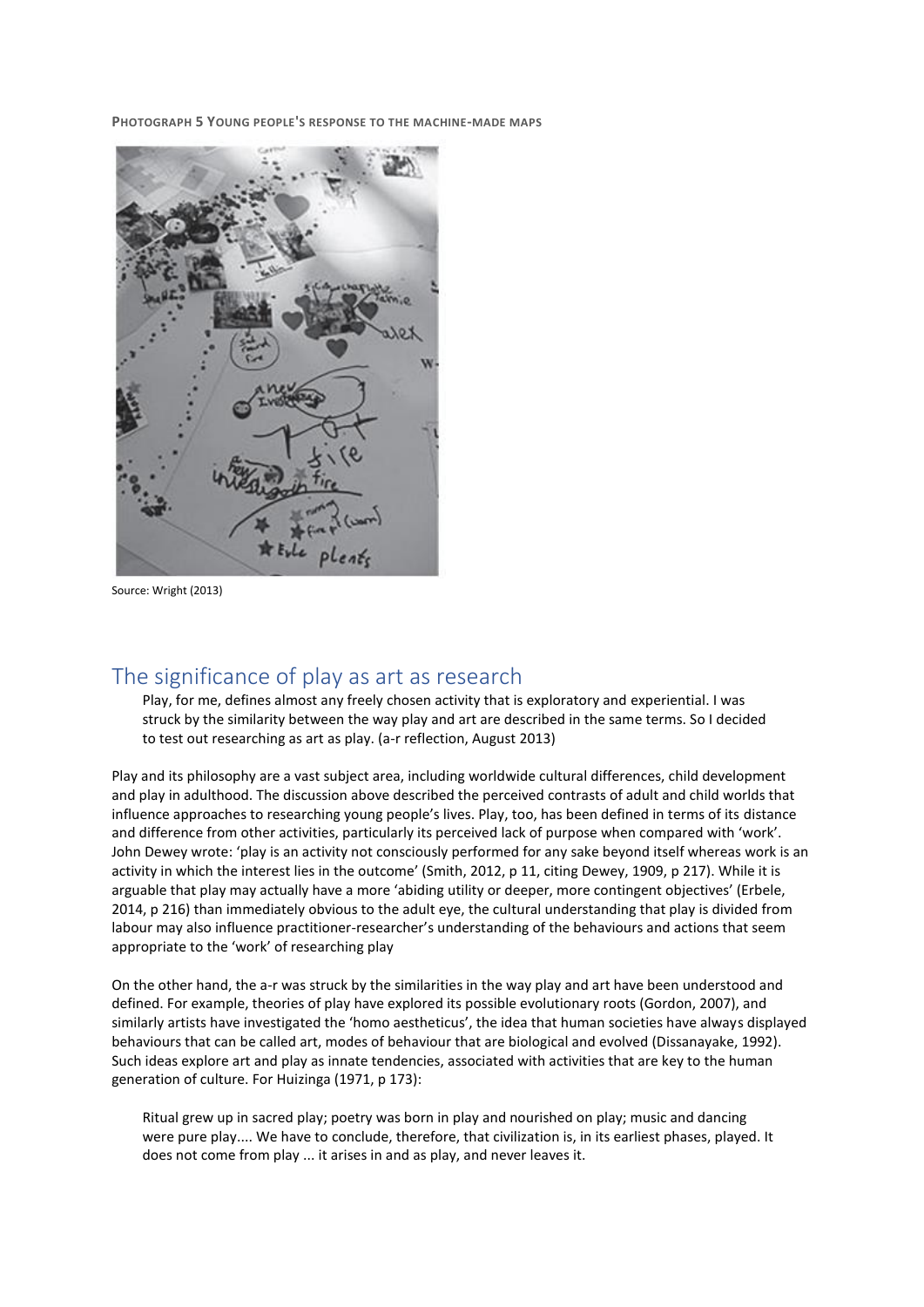**PHOTOGRAPH 5 YOUNG PEOPLE'S RESPONSE TO THE MACHINE-MADE MAPS**



Source: Wright (2013)

## The significance of play as art as research

Play, for me, defines almost any freely chosen activity that is exploratory and experiential. I was struck by the similarity between the way play and art are described in the same terms. So I decided to test out researching as art as play. (a-r reflection, August 2013)

Play and its philosophy are a vast subject area, including worldwide cultural differences, child development and play in adulthood. The discussion above described the perceived contrasts of adult and child worlds that influence approaches to researching young people's lives. Play, too, has been defined in terms of its distance and difference from other activities, particularly its perceived lack of purpose when compared with 'work'. John Dewey wrote: 'play is an activity not consciously performed for any sake beyond itself whereas work is an activity in which the interest lies in the outcome' (Smith, 2012, p 11, citing Dewey, 1909, p 217). While it is arguable that play may actually have a more 'abiding utility or deeper, more contingent objectives' (Erbele, 2014, p 216) than immediately obvious to the adult eye, the cultural understanding that play is divided from labour may also influence practitioner-researcher's understanding of the behaviours and actions that seem appropriate to the 'work' of researching play

On the other hand, the a-r was struck by the similarities in the way play and art have been understood and defined. For example, theories of play have explored its possible evolutionary roots (Gordon, 2007), and similarly artists have investigated the 'homo aestheticus', the idea that human societies have always displayed behaviours that can be called art, modes of behaviour that are biological and evolved (Dissanayake, 1992). Such ideas explore art and play as innate tendencies, associated with activities that are key to the human generation of culture. For Huizinga (1971, p 173):

Ritual grew up in sacred play; poetry was born in play and nourished on play; music and dancing were pure play.... We have to conclude, therefore, that civilization is, in its earliest phases, played. It does not come from play ... it arises in and as play, and never leaves it.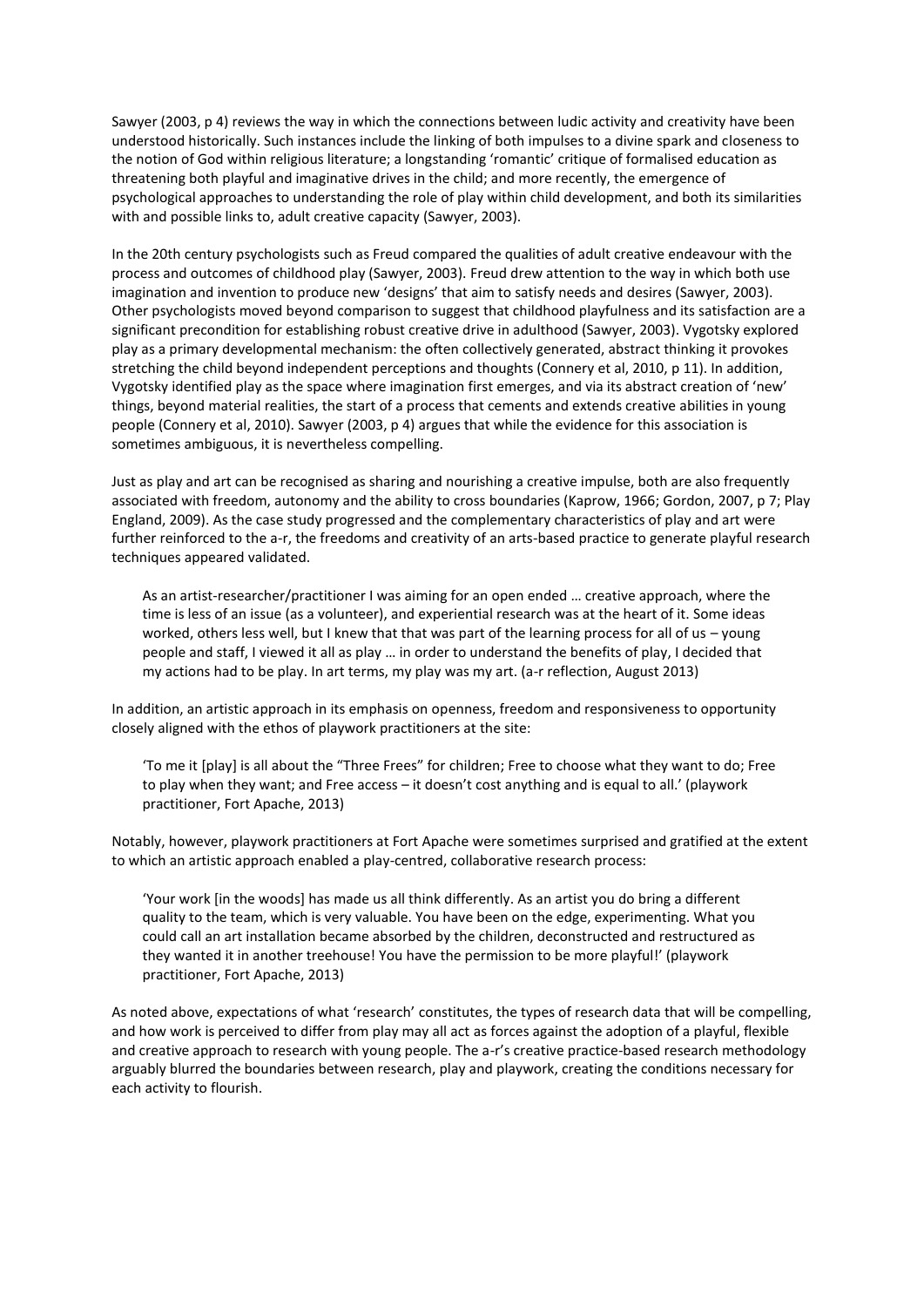Sawyer (2003, p 4) reviews the way in which the connections between ludic activity and creativity have been understood historically. Such instances include the linking of both impulses to a divine spark and closeness to the notion of God within religious literature; a longstanding 'romantic' critique of formalised education as threatening both playful and imaginative drives in the child; and more recently, the emergence of psychological approaches to understanding the role of play within child development, and both its similarities with and possible links to, adult creative capacity (Sawyer, 2003).

In the 20th century psychologists such as Freud compared the qualities of adult creative endeavour with the process and outcomes of childhood play (Sawyer, 2003). Freud drew attention to the way in which both use imagination and invention to produce new 'designs' that aim to satisfy needs and desires (Sawyer, 2003). Other psychologists moved beyond comparison to suggest that childhood playfulness and its satisfaction are a significant precondition for establishing robust creative drive in adulthood (Sawyer, 2003). Vygotsky explored play as a primary developmental mechanism: the often collectively generated, abstract thinking it provokes stretching the child beyond independent perceptions and thoughts (Connery et al, 2010, p 11). In addition, Vygotsky identified play as the space where imagination first emerges, and via its abstract creation of 'new' things, beyond material realities, the start of a process that cements and extends creative abilities in young people (Connery et al, 2010). Sawyer (2003, p 4) argues that while the evidence for this association is sometimes ambiguous, it is nevertheless compelling.

Just as play and art can be recognised as sharing and nourishing a creative impulse, both are also frequently associated with freedom, autonomy and the ability to cross boundaries (Kaprow, 1966; Gordon, 2007, p 7; Play England, 2009). As the case study progressed and the complementary characteristics of play and art were further reinforced to the a-r, the freedoms and creativity of an arts-based practice to generate playful research techniques appeared validated.

As an artist-researcher/practitioner I was aiming for an open ended … creative approach, where the time is less of an issue (as a volunteer), and experiential research was at the heart of it. Some ideas worked, others less well, but I knew that that was part of the learning process for all of us – young people and staff, I viewed it all as play … in order to understand the benefits of play, I decided that my actions had to be play. In art terms, my play was my art. (a-r reflection, August 2013)

In addition, an artistic approach in its emphasis on openness, freedom and responsiveness to opportunity closely aligned with the ethos of playwork practitioners at the site:

'To me it [play] is all about the "Three Frees" for children; Free to choose what they want to do; Free to play when they want; and Free access – it doesn't cost anything and is equal to all.' (playwork practitioner, Fort Apache, 2013)

Notably, however, playwork practitioners at Fort Apache were sometimes surprised and gratified at the extent to which an artistic approach enabled a play-centred, collaborative research process:

'Your work [in the woods] has made us all think differently. As an artist you do bring a different quality to the team, which is very valuable. You have been on the edge, experimenting. What you could call an art installation became absorbed by the children, deconstructed and restructured as they wanted it in another treehouse! You have the permission to be more playful!' (playwork practitioner, Fort Apache, 2013)

As noted above, expectations of what 'research' constitutes, the types of research data that will be compelling, and how work is perceived to differ from play may all act as forces against the adoption of a playful, flexible and creative approach to research with young people. The a-r's creative practice-based research methodology arguably blurred the boundaries between research, play and playwork, creating the conditions necessary for each activity to flourish.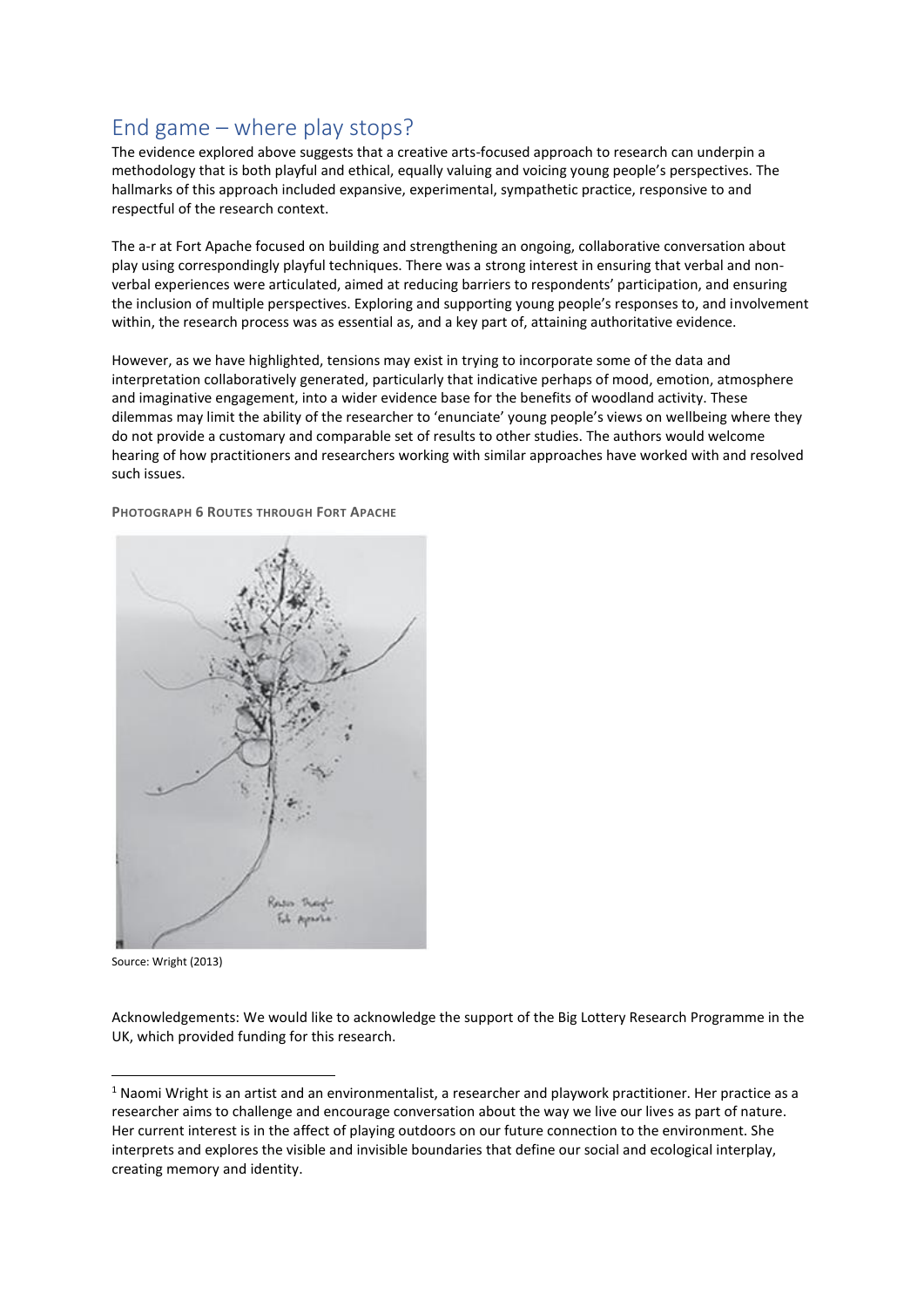# End game – where play stops?

The evidence explored above suggests that a creative arts-focused approach to research can underpin a methodology that is both playful and ethical, equally valuing and voicing young people's perspectives. The hallmarks of this approach included expansive, experimental, sympathetic practice, responsive to and respectful of the research context.

The a-r at Fort Apache focused on building and strengthening an ongoing, collaborative conversation about play using correspondingly playful techniques. There was a strong interest in ensuring that verbal and nonverbal experiences were articulated, aimed at reducing barriers to respondents' participation, and ensuring the inclusion of multiple perspectives. Exploring and supporting young people's responses to, and involvement within, the research process was as essential as, and a key part of, attaining authoritative evidence.

However, as we have highlighted, tensions may exist in trying to incorporate some of the data and interpretation collaboratively generated, particularly that indicative perhaps of mood, emotion, atmosphere and imaginative engagement, into a wider evidence base for the benefits of woodland activity. These dilemmas may limit the ability of the researcher to 'enunciate' young people's views on wellbeing where they do not provide a customary and comparable set of results to other studies. The authors would welcome hearing of how practitioners and researchers working with similar approaches have worked with and resolved such issues.

**PHOTOGRAPH 6 ROUTES THROUGH FORT APACHE**



Source: Wright (2013)

**.** 

Acknowledgements: We would like to acknowledge the support of the Big Lottery Research Programme in the UK, which provided funding for this research.

 $1$  Naomi Wright is an artist and an environmentalist, a researcher and playwork practitioner. Her practice as a researcher aims to challenge and encourage conversation about the way we live our lives as part of nature. Her current interest is in the affect of playing outdoors on our future connection to the environment. She interprets and explores the visible and invisible boundaries that define our social and ecological interplay, creating memory and identity.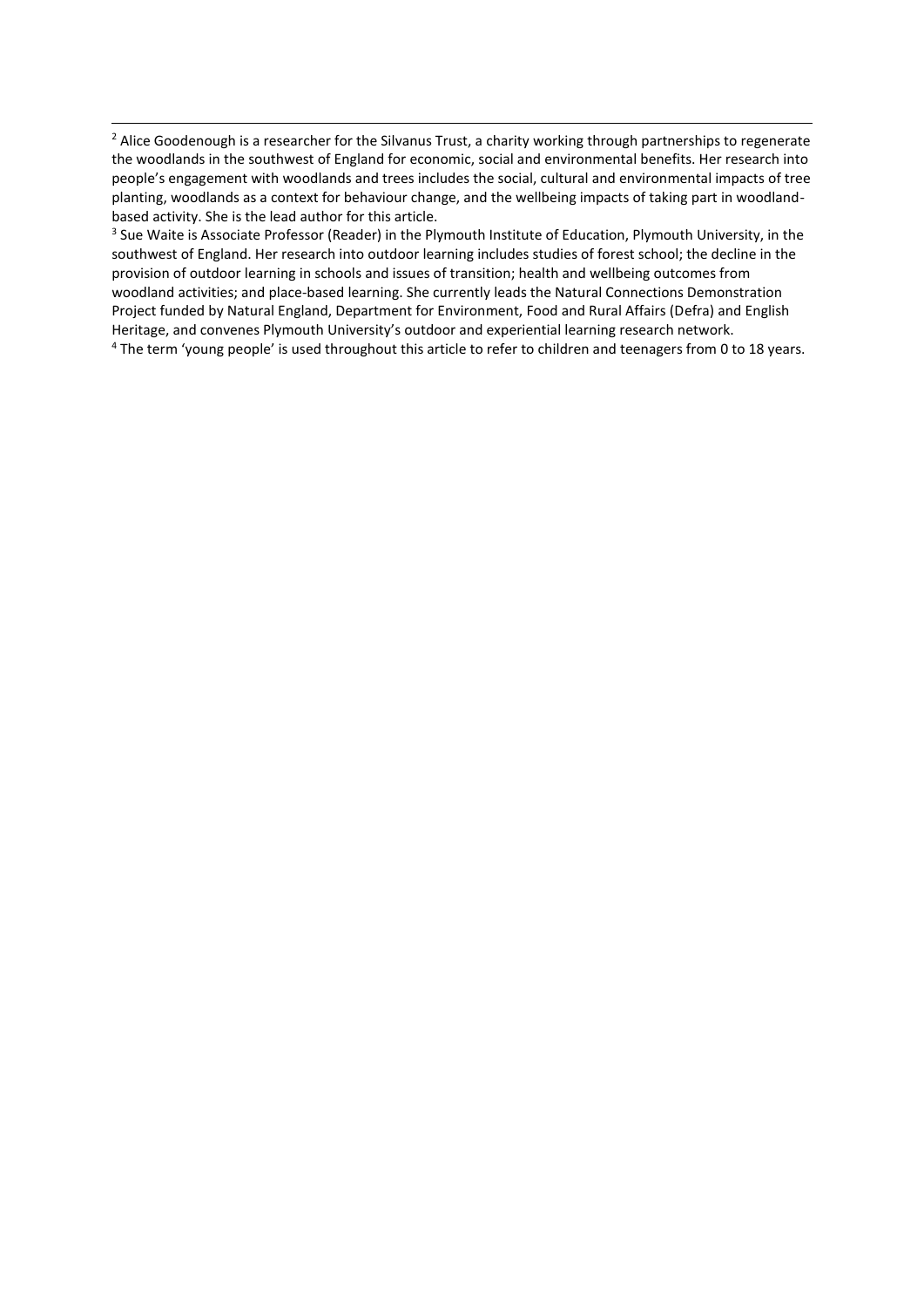<sup>2</sup> Alice Goodenough is a researcher for the Silvanus Trust, a charity working through partnerships to regenerate the woodlands in the southwest of England for economic, social and environmental benefits. Her research into people's engagement with woodlands and trees includes the social, cultural and environmental impacts of tree planting, woodlands as a context for behaviour change, and the wellbeing impacts of taking part in woodlandbased activity. She is the lead author for this article.

<sup>3</sup> Sue Waite is Associate Professor (Reader) in the Plymouth Institute of Education, Plymouth University, in the southwest of England. Her research into outdoor learning includes studies of forest school; the decline in the provision of outdoor learning in schools and issues of transition; health and wellbeing outcomes from woodland activities; and place-based learning. She currently leads the Natural Connections Demonstration Project funded by Natural England, Department for Environment, Food and Rural Affairs (Defra) and English Heritage, and convenes Plymouth University's outdoor and experiential learning research network. <sup>4</sup> The term 'young people' is used throughout this article to refer to children and teenagers from 0 to 18 years.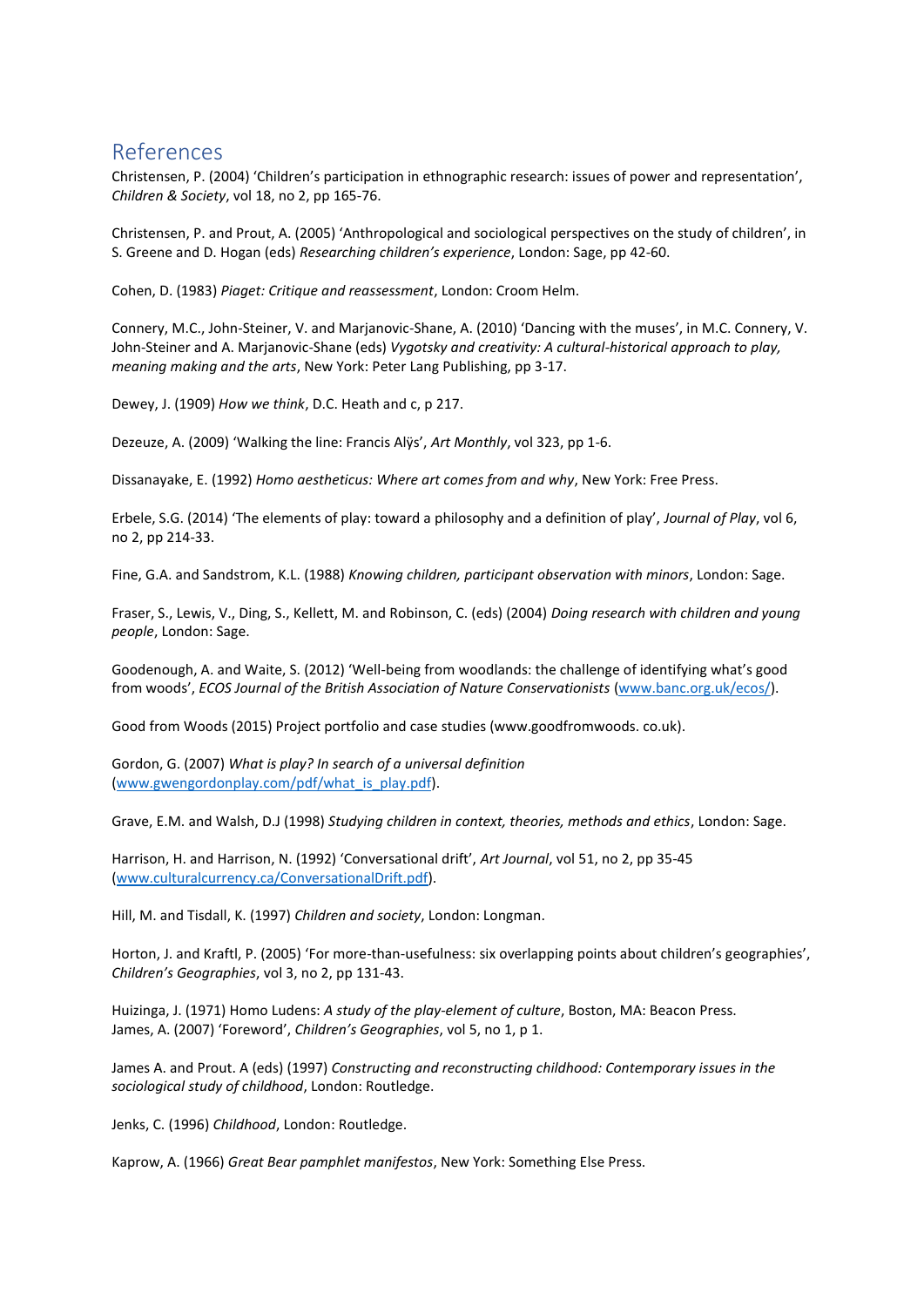## References

Christensen, P. (2004) 'Children's participation in ethnographic research: issues of power and representation', *Children & Society*, vol 18, no 2, pp 165-76.

Christensen, P. and Prout, A. (2005) 'Anthropological and sociological perspectives on the study of children', in S. Greene and D. Hogan (eds) *Researching children's experience*, London: Sage, pp 42-60.

Cohen, D. (1983) *Piaget: Critique and reassessment*, London: Croom Helm.

Connery, M.C., John-Steiner, V. and Marjanovic-Shane, A. (2010) 'Dancing with the muses', in M.C. Connery, V. John-Steiner and A. Marjanovic-Shane (eds) *Vygotsky and creativity: A cultural-historical approach to play, meaning making and the arts*, New York: Peter Lang Publishing, pp 3-17.

Dewey, J. (1909) *How we think*, D.C. Heath and c, p 217.

Dezeuze, A. (2009) 'Walking the line: Francis Alÿs', *Art Monthly*, vol 323, pp 1-6.

Dissanayake, E. (1992) *Homo aestheticus: Where art comes from and why*, New York: Free Press.

Erbele, S.G. (2014) 'The elements of play: toward a philosophy and a definition of play', *Journal of Play*, vol 6, no 2, pp 214-33.

Fine, G.A. and Sandstrom, K.L. (1988) *Knowing children, participant observation with minors*, London: Sage.

Fraser, S., Lewis, V., Ding, S., Kellett, M. and Robinson, C. (eds) (2004) *Doing research with children and young people*, London: Sage.

Goodenough, A. and Waite, S. (2012) 'Well-being from woodlands: the challenge of identifying what's good from woods', *ECOS Journal of the British Association of Nature Conservationists* [\(www.banc.org.uk/ecos/\)](http://www.banc.org.uk/ecos/).

Good from Woods (2015) Project portfolio and case studies (www.goodfromwoods. co.uk).

Gordon, G. (2007) *What is play? In search of a universal definition* [\(www.gwengordonplay.com/pdf/what\\_is\\_play.pdf\)](http://www.gwengordonplay.com/pdf/what_is_play.pdf).

Grave, E.M. and Walsh, D.J (1998) *Studying children in context, theories, methods and ethics*, London: Sage.

Harrison, H. and Harrison, N. (1992) 'Conversational drift', *Art Journal*, vol 51, no 2, pp 35-45 [\(www.culturalcurrency.ca/ConversationalDrift.pdf\)](http://www.culturalcurrency.ca/ConversationalDrift.pdf).

Hill, M. and Tisdall, K. (1997) *Children and society*, London: Longman.

Horton, J. and Kraftl, P. (2005) 'For more-than-usefulness: six overlapping points about children's geographies', *Children's Geographies*, vol 3, no 2, pp 131-43.

Huizinga, J. (1971) Homo Ludens: *A study of the play-element of culture*, Boston, MA: Beacon Press. James, A. (2007) 'Foreword', *Children's Geographies*, vol 5, no 1, p 1.

James A. and Prout. A (eds) (1997) *Constructing and reconstructing childhood: Contemporary issues in the sociological study of childhood*, London: Routledge.

Jenks, C. (1996) *Childhood*, London: Routledge.

Kaprow, A. (1966) *Great Bear pamphlet manifestos*, New York: Something Else Press.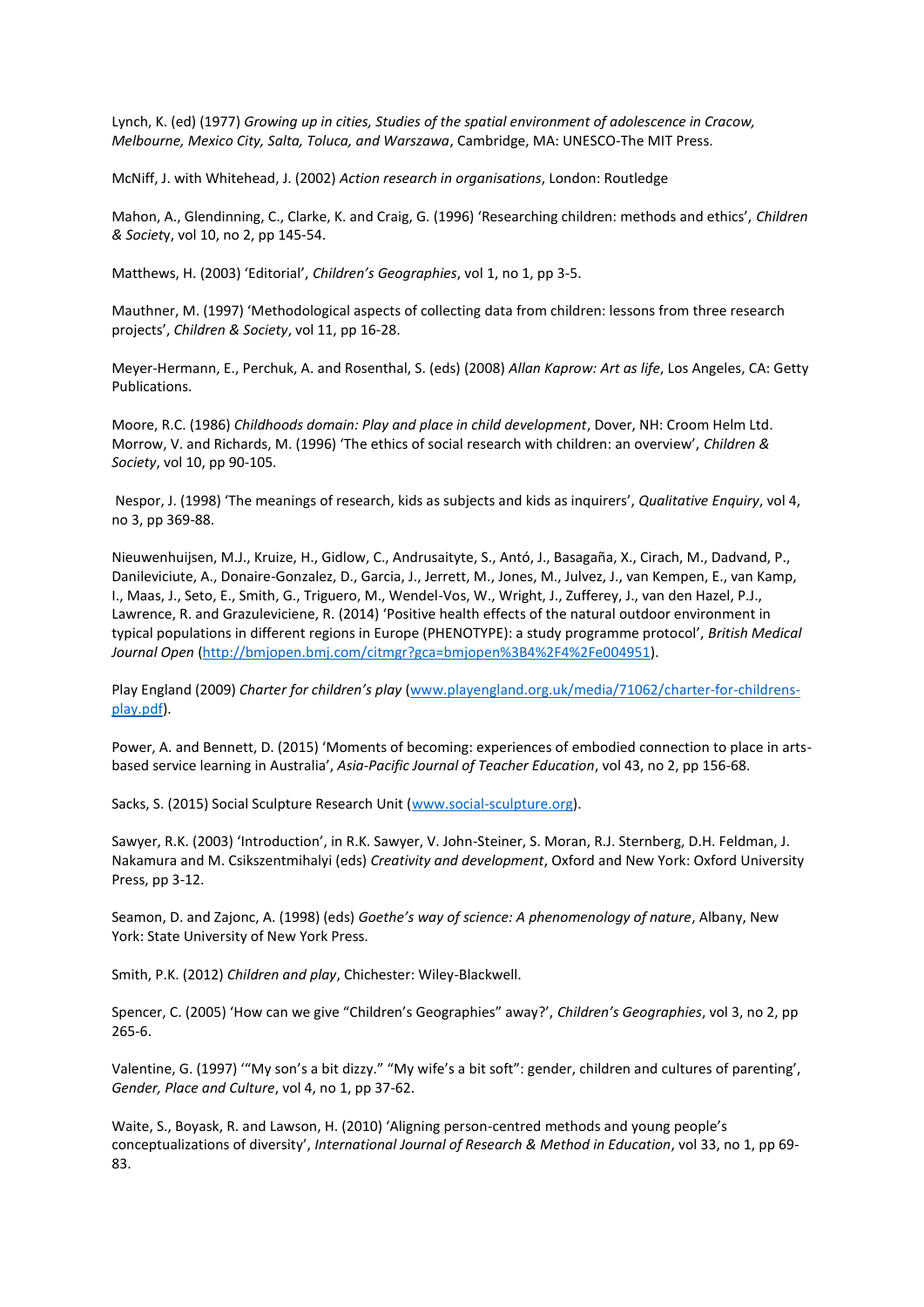Lynch, K. (ed) (1977) *Growing up in cities, Studies of the spatial environment of adolescence in Cracow, Melbourne, Mexico City, Salta, Toluca, and Warszawa*, Cambridge, MA: UNESCO-The MIT Press.

McNiff, J. with Whitehead, J. (2002) *Action research in organisations*, London: Routledge

Mahon, A., Glendinning, C., Clarke, K. and Craig, G. (1996) 'Researching children: methods and ethics', *Children & Societ*y, vol 10, no 2, pp 145-54.

Matthews, H. (2003) 'Editorial', *Children's Geographies*, vol 1, no 1, pp 3-5.

Mauthner, M. (1997) 'Methodological aspects of collecting data from children: lessons from three research projects', *Children & Society*, vol 11, pp 16-28.

Meyer-Hermann, E., Perchuk, A. and Rosenthal, S. (eds) (2008) *Allan Kaprow: Art as life*, Los Angeles, CA: Getty Publications.

Moore, R.C. (1986) *Childhoods domain: Play and place in child development*, Dover, NH: Croom Helm Ltd. Morrow, V. and Richards, M. (1996) 'The ethics of social research with children: an overview', *Children & Society*, vol 10, pp 90-105.

Nespor, J. (1998) 'The meanings of research, kids as subjects and kids as inquirers', *Qualitative Enquiry*, vol 4, no 3, pp 369-88.

Nieuwenhuijsen, M.J., Kruize, H., Gidlow, C., Andrusaityte, S., Antó, J., Basagaña, X., Cirach, M., Dadvand, P., Danileviciute, A., Donaire-Gonzalez, D., Garcia, J., Jerrett, M., Jones, M., Julvez, J., van Kempen, E., van Kamp, I., Maas, J., Seto, E., Smith, G., Triguero, M., Wendel-Vos, W., Wright, J., Zufferey, J., van den Hazel, P.J., Lawrence, R. and Grazuleviciene, R. (2014) 'Positive health effects of the natural outdoor environment in typical populations in different regions in Europe (PHENOTYPE): a study programme protocol', *British Medical Journal Open* [\(http://bmjopen.bmj.com/citmgr?gca=bmjopen%3B4%2F4%2Fe004951\)](http://bmjopen.bmj.com/citmgr?gca=bmjopen%3B4%2F4%2Fe004951).

Play England (2009) *Charter for children's play* [\(www.playengland.org.uk/media/71062/charter-for-childrens](http://www.playengland.org.uk/media/71062/charter-for-childrens-play.pdf)[play.pdf\)](http://www.playengland.org.uk/media/71062/charter-for-childrens-play.pdf).

Power, A. and Bennett, D. (2015) 'Moments of becoming: experiences of embodied connection to place in artsbased service learning in Australia', *Asia-Pacific Journal of Teacher Education*, vol 43, no 2, pp 156-68.

Sacks, S. (2015) Social Sculpture Research Unit [\(www.social-sculpture.org\)](http://www.social-sculpture.org/).

Sawyer, R.K. (2003) 'Introduction', in R.K. Sawyer, V. John-Steiner, S. Moran, R.J. Sternberg, D.H. Feldman, J. Nakamura and M. Csikszentmihalyi (eds) *Creativity and development*, Oxford and New York: Oxford University Press, pp 3-12.

Seamon, D. and Zajonc, A. (1998) (eds) *Goethe's way of science: A phenomenology of nature*, Albany, New York: State University of New York Press.

Smith, P.K. (2012) *Children and play*, Chichester: Wiley-Blackwell.

Spencer, C. (2005) 'How can we give "Children's Geographies" away?', *Children's Geographies*, vol 3, no 2, pp 265-6.

Valentine, G. (1997) '"My son's a bit dizzy." "My wife's a bit soft": gender, children and cultures of parenting', *Gender, Place and Culture*, vol 4, no 1, pp 37-62.

Waite, S., Boyask, R. and Lawson, H. (2010) 'Aligning person-centred methods and young people's conceptualizations of diversity', *International Journal of Research & Method in Education*, vol 33, no 1, pp 69- 83.